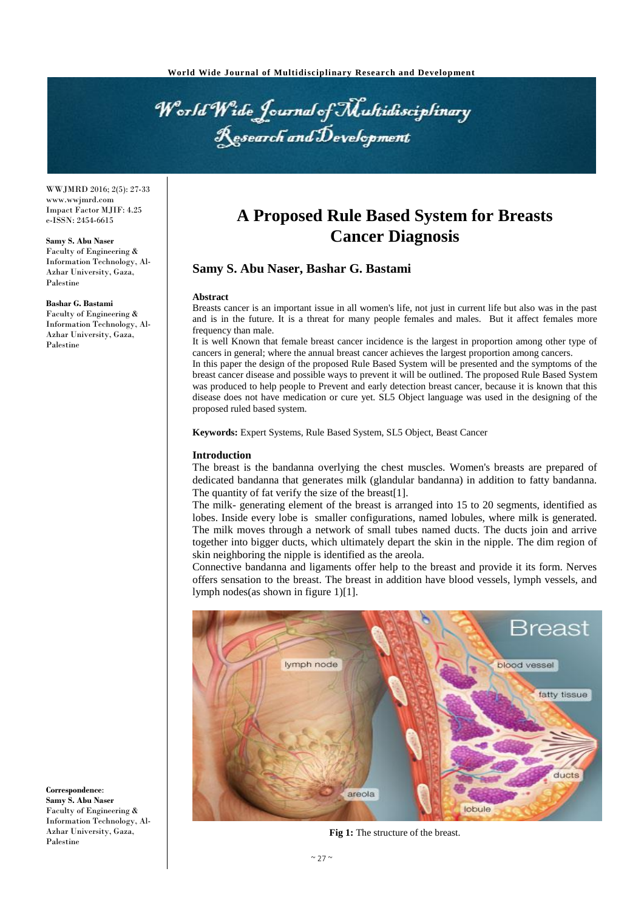

WWJMRD 2016; 2(5): 27-33 www.wwjmrd.com Impact Factor MJIF: 4.25 e-ISSN: 2454-6615

**Samy S. Abu Naser** Faculty of Engineering & Information Technology, Al-Azhar University, Gaza, Palestine

**Bashar G. Bastami**

Faculty of Engineering & Information Technology, Al-Azhar University, Gaza, Palestine

**Correspondence**: **Samy S. Abu Naser** Faculty of Engineering & Information Technology, Al-Azhar University, Gaza, Palestine

# **A Proposed Rule Based System for Breasts Cancer Diagnosis**

## **Samy S. Abu Naser, Bashar G. Bastami**

#### **Abstract**

Breasts cancer is an important issue in all women's life, not just in current life but also was in the past and is in the future. It is a threat for many people females and males. But it affect females more frequency than male.

It is well Known that female breast cancer incidence is the largest in proportion among other type of cancers in general; where the annual breast cancer achieves the largest proportion among cancers.

In this paper the design of the proposed Rule Based System will be presented and the symptoms of the breast cancer disease and possible ways to prevent it will be outlined. The proposed Rule Based System was produced to help people to Prevent and early detection breast cancer, because it is known that this disease does not have medication or cure yet. SL5 Object language was used in the designing of the proposed ruled based system.

**Keywords:** Expert Systems, Rule Based System, SL5 Object, Beast Cancer

#### **Introduction**

The breast is the bandanna overlying the chest muscles. Women's breasts are prepared of dedicated bandanna that generates milk (glandular bandanna) in addition to fatty bandanna. The quantity of fat verify the size of the breast[1].

The milk- generating element of the breast is arranged into 15 to 20 segments, identified as lobes. Inside every lobe is smaller configurations, named lobules, where milk is generated. The milk moves through a network of small tubes named ducts. The ducts join and arrive together into bigger ducts, which ultimately depart the skin in the nipple. The dim region of skin neighboring the nipple is identified as the areola.

Connective bandanna and ligaments offer help to the breast and provide it its form. Nerves offers sensation to the breast. The breast in addition have blood vessels, lymph vessels, and lymph nodes(as shown in figure 1)[1].



**Fig 1:** The structure of the breast.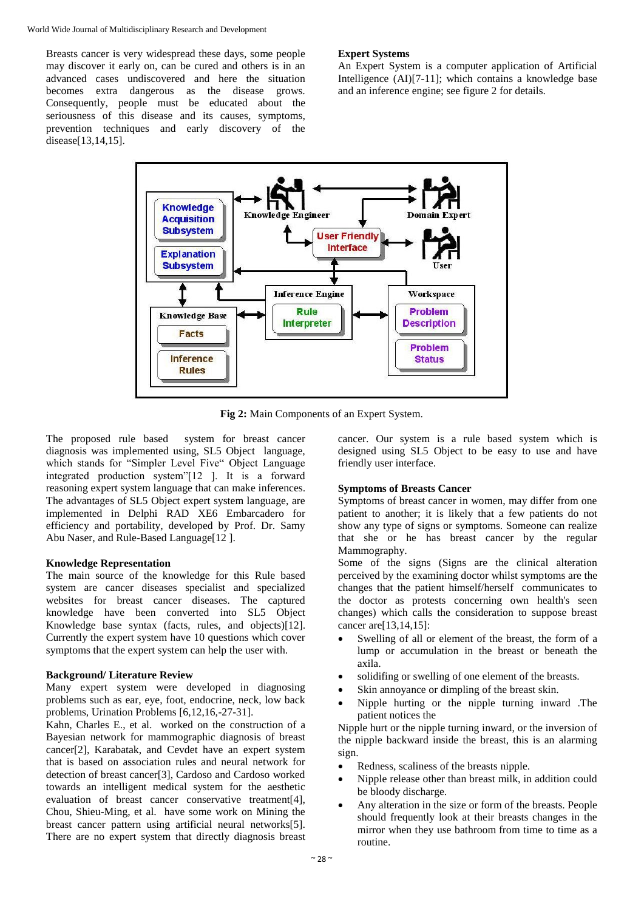World Wide Journal of Multidisciplinary Research and Development

Breasts cancer is very widespread these days, some people may discover it early on, can be cured and others is in an advanced cases undiscovered and here the situation becomes extra dangerous as the disease grows. Consequently, people must be educated about the seriousness of this disease and its causes, symptoms, prevention techniques and early discovery of the disease[13,14,15].

## **Expert Systems**

An Expert System is a computer application of Artificial Intelligence (AI)[7-11]; which contains a knowledge base and an inference engine; see figure 2 for details.



**Fig 2:** Main Components of an Expert System.

The proposed rule based system for breast cancer diagnosis was implemented using, SL5 Object language, which stands for "Simpler Level Five" Object Language integrated production system"[12 ]. It is a forward reasoning expert system language that can make inferences. The advantages of SL5 Object expert system language, are implemented in Delphi RAD XE6 Embarcadero for efficiency and portability, developed by Prof. Dr. Samy Abu Naser, and Rule-Based Language[12].

## **Knowledge Representation**

The main source of the knowledge for this Rule based system are cancer diseases specialist and specialized websites for breast cancer diseases. The captured knowledge have been converted into SL5 Object Knowledge base syntax (facts, rules, and objects)[12]. Currently the expert system have 10 questions which cover symptoms that the expert system can help the user with.

# **Background/ Literature Review**

Many expert system were developed in diagnosing problems such as ear, eye, foot, endocrine, neck, low back problems, Urination Problems [6,12,16,-27-31].

Kahn, Charles E., et al. worked on the construction of a Bayesian network for mammographic diagnosis of breast cancer[2], Karabatak, and Cevdet have an expert system that is based on association rules and neural network for detection of breast cancer[3], Cardoso and Cardoso worked towards an intelligent medical system for the aesthetic evaluation of breast cancer conservative treatment[4], Chou, Shieu-Ming, et al. have some work on Mining the breast cancer pattern using artificial neural networks[5]. There are no expert system that directly diagnosis breast

cancer. Our system is a rule based system which is designed using SL5 Object to be easy to use and have friendly user interface.

# **Symptoms of Breasts Cancer**

Symptoms of breast cancer in women, may differ from one patient to another; it is likely that a few patients do not show any type of signs or symptoms. Someone can realize that she or he has breast cancer by the regular Mammography.

Some of the signs (Signs are the clinical alteration perceived by the examining doctor whilst symptoms are the changes that the patient himself/herself communicates to the doctor as protests concerning own health's seen changes) which calls the consideration to suppose breast cancer are[13,14,15]:

- Swelling of all or element of the breast, the form of a lump or accumulation in the breast or beneath the axila.
- solidifing or swelling of one element of the breasts.
- Skin annoyance or dimpling of the breast skin.
- Nipple hurting or the nipple turning inward .The patient notices the

Nipple hurt or the nipple turning inward, or the inversion of the nipple backward inside the breast, this is an alarming sign.

- Redness, scaliness of the breasts nipple.
- Nipple release other than breast milk, in addition could be bloody discharge.
- Any alteration in the size or form of the breasts. People should frequently look at their breasts changes in the mirror when they use bathroom from time to time as a routine.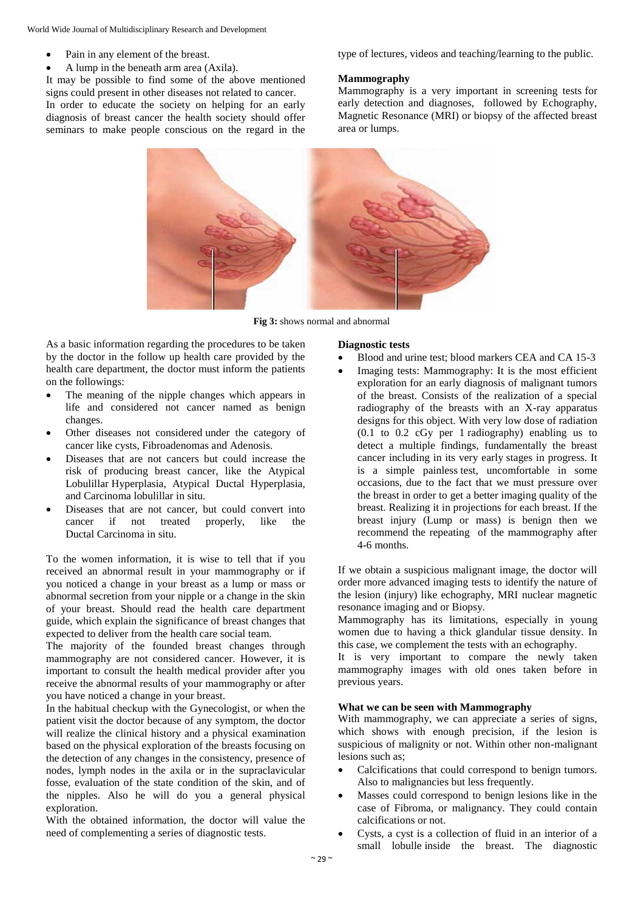- Pain in any element of the breast.
- A lump in the beneath arm area (Axila).

It may be possible to find some of the above mentioned signs could present in other diseases not related to cancer. In order to educate the society on helping for an early diagnosis of breast cancer the health society should offer seminars to make people conscious on the regard in the type of lectures, videos and teaching/learning to the public.

#### **Mammography**

Mammography is a very important in screening tests for early detection and diagnoses, followed by Echography, Magnetic Resonance (MRI) or biopsy of the affected breast area or lumps.



**Fig 3:** shows normal and abnormal

As a basic information regarding the procedures to be taken by the doctor in the follow up health care provided by the health care department, the doctor must inform the patients on the followings:

- The meaning of the nipple changes which appears in life and considered not cancer named as benign changes.
- Other diseases not considered under the category of cancer like cysts, Fibroadenomas and Adenosis.
- Diseases that are not cancers but could increase the risk of producing breast cancer, like the Atypical Lobulillar Hyperplasia, Atypical Ductal Hyperplasia, and Carcinoma lobulillar in situ.
- Diseases that are not cancer, but could convert into cancer if not treated properly, like the Ductal Carcinoma in situ.

To the women information, it is wise to tell that if you received an abnormal result in your mammography or if you noticed a change in your breast as a lump or mass or abnormal secretion from your nipple or a change in the skin of your breast. Should read the health care department guide, which explain the significance of breast changes that expected to deliver from the health care social team.

The majority of the founded breast changes through mammography are not considered cancer. However, it is important to consult the health medical provider after you receive the abnormal results of your mammography or after you have noticed a change in your breast.

In the habitual checkup with the Gynecologist, or when the patient visit the doctor because of any symptom, the doctor will realize the clinical history and a physical examination based on the physical exploration of the breasts focusing on the detection of any changes in the consistency, presence of nodes, lymph nodes in the axila or in the supraclavicular fosse, evaluation of the state condition of the skin, and of the nipples. Also he will do you a general physical exploration.

With the obtained information, the doctor will value the need of complementing a series of diagnostic tests.

#### **Diagnostic tests**

- Blood and urine test; blood markers CEA and CA 15-3
- Imaging tests: Mammography: It is the most efficient exploration for an early diagnosis of malignant tumors of the breast. Consists of the realization of a special radiography of the breasts with an X-ray apparatus designs for this object. With very low dose of radiation  $(0.1 \t{to} 0.2 \tc{Gy}$  per 1 radiography) enabling us to detect a multiple findings, fundamentally the breast cancer including in its very early stages in progress. It is a simple painless test, uncomfortable in some occasions, due to the fact that we must pressure over the breast in order to get a better imaging quality of the breast. Realizing it in projections for each breast. If the breast injury (Lump or mass) is benign then we recommend the repeating of the mammography after 4-6 months.

If we obtain a suspicious malignant image, the doctor will order more advanced imaging tests to identify the nature of the lesion (injury) like echography, MRI nuclear magnetic resonance imaging and or Biopsy.

Mammography has its limitations, especially in young women due to having a thick glandular tissue density. In this case, we complement the tests with an echography.

It is very important to compare the newly taken mammography images with old ones taken before in previous years.

## **What we can be seen with Mammography**

With mammography, we can appreciate a series of signs, which shows with enough precision, if the lesion is suspicious of malignity or not. Within other non-malignant lesions such as;

- Calcifications that could correspond to benign tumors. Also to malignancies but less frequently.
- Masses could correspond to benign lesions like in the case of Fibroma, or malignancy. They could contain calcifications or not.
- Cysts, a cyst is a collection of fluid in an interior of a small lobulle inside the breast. The diagnostic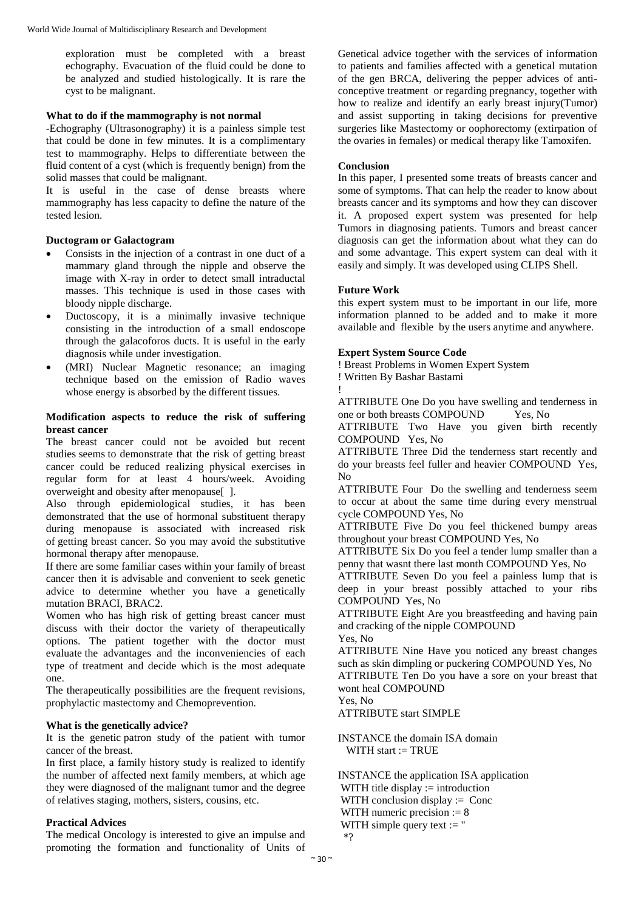exploration must be completed with a breast echography. Evacuation of the fluid could be done to be analyzed and studied histologically. It is rare the cyst to be malignant.

## **What to do if the mammography is not normal**

-Echography (Ultrasonography) it is a painless simple test that could be done in few minutes. It is a complimentary test to mammography. Helps to differentiate between the fluid content of a cyst (which is frequently benign) from the solid masses that could be malignant.

It is useful in the case of dense breasts where mammography has less capacity to define the nature of the tested lesion.

## **Ductogram or Galactogram**

- Consists in the injection of a contrast in one duct of a mammary gland through the nipple and observe the image with X-ray in order to detect small intraductal masses. This technique is used in those cases with bloody nipple discharge.
- Ductoscopy, it is a minimally invasive technique consisting in the introduction of a small endoscope through the galacoforos ducts. It is useful in the early diagnosis while under investigation.
- (MRI) Nuclear Magnetic resonance; an imaging technique based on the emission of Radio waves whose energy is absorbed by the different tissues.

#### **Modification aspects to reduce the risk of suffering breast cancer**

The breast cancer could not be avoided but recent studies seems to demonstrate that the risk of getting breast cancer could be reduced realizing physical exercises in regular form for at least 4 hours/week. Avoiding overweight and obesity after menopause[ ].

Also through epidemiological studies, it has been demonstrated that the use of hormonal substituent therapy during menopause is associated with increased risk of getting breast cancer. So you may avoid the substitutive hormonal therapy after menopause.

If there are some familiar cases within your family of breast cancer then it is advisable and convenient to seek genetic advice to determine whether you have a genetically mutation BRACI, BRAC2.

Women who has high risk of getting breast cancer must discuss with their doctor the variety of therapeutically options. The patient together with the doctor must evaluate the advantages and the inconveniencies of each type of treatment and decide which is the most adequate one.

The therapeutically possibilities are the frequent revisions, prophylactic mastectomy and Chemoprevention.

#### **What is the genetically advice?**

It is the genetic patron study of the patient with tumor cancer of the breast.

In first place, a family history study is realized to identify the number of affected next family members, at which age they were diagnosed of the malignant tumor and the degree of relatives staging, mothers, sisters, cousins, etc.

## **Practical Advices**

The medical Oncology is interested to give an impulse and promoting the formation and functionality of Units of Genetical advice together with the services of information to patients and families affected with a genetical mutation of the gen BRCA, delivering the pepper advices of anticonceptive treatment or regarding pregnancy, together with how to realize and identify an early breast injury(Tumor) and assist supporting in taking decisions for preventive surgeries like Mastectomy or oophorectomy (extirpation of the ovaries in females) or medical therapy like Tamoxifen.

## **Conclusion**

In this paper, I presented some treats of breasts cancer and some of symptoms. That can help the reader to know about breasts cancer and its symptoms and how they can discover it. A proposed expert system was presented for help Tumors in diagnosing patients. Tumors and breast cancer diagnosis can get the information about what they can do and some advantage. This expert system can deal with it easily and simply. It was developed using CLIPS Shell.

## **Future Work**

this expert system must to be important in our life, more information planned to be added and to make it more available and flexible by the users anytime and anywhere.

## **Expert System Source Code**

! Breast Problems in Women Expert System

! Written By Bashar Bastami

!

ATTRIBUTE One Do you have swelling and tenderness in one or both breasts COMPOUND Yes, No

ATTRIBUTE Two Have you given birth recently COMPOUND Yes, No

ATTRIBUTE Three Did the tenderness start recently and do your breasts feel fuller and heavier COMPOUND Yes, No

ATTRIBUTE Four Do the swelling and tenderness seem to occur at about the same time during every menstrual cycle COMPOUND Yes, No

ATTRIBUTE Five Do you feel thickened bumpy areas throughout your breast COMPOUND Yes, No

ATTRIBUTE Six Do you feel a tender lump smaller than a penny that wasnt there last month COMPOUND Yes, No

ATTRIBUTE Seven Do you feel a painless lump that is deep in your breast possibly attached to your ribs COMPOUND Yes, No

ATTRIBUTE Eight Are you breastfeeding and having pain and cracking of the nipple COMPOUND

Yes, No

ATTRIBUTE Nine Have you noticed any breast changes such as skin dimpling or puckering COMPOUND Yes, No ATTRIBUTE Ten Do you have a sore on your breast that wont heal COMPOUND

Yes, No

ATTRIBUTE start SIMPLE

INSTANCE the domain ISA domain WITH start := TRUE

INSTANCE the application ISA application WITH title display  $:=$  introduction WITH conclusion display  $:=$  Conc WITH numeric precision  $:= 8$ WITH simple query text  $:=$  "  $*$ ?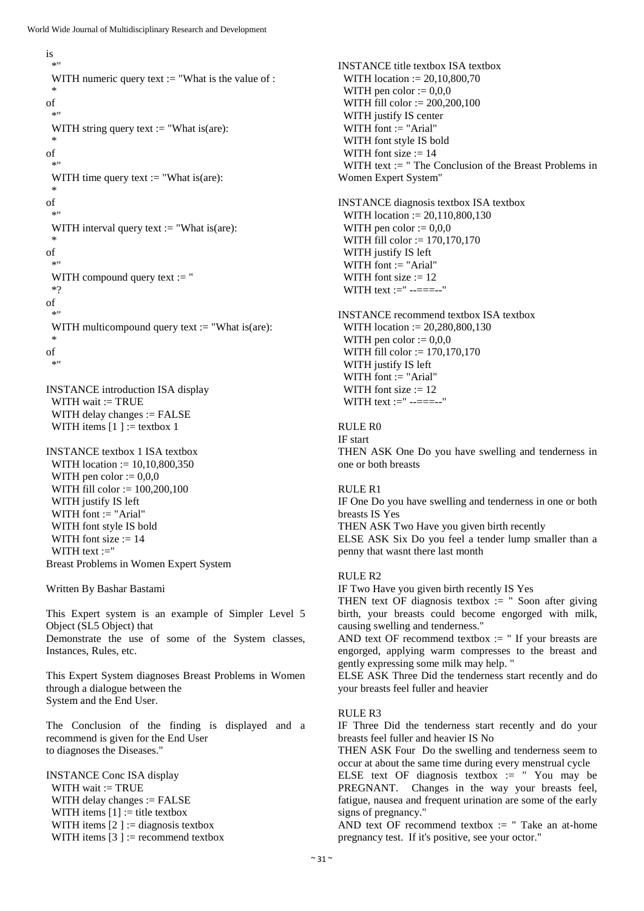```
is
 *"
 WITH numeric query text := "What is the value of :
 *
of
  *"
 WITH string query text := "What is(are):
 *
of
 *"
 WITH time query text := "What is(are):
 *
of
  *"
 WITH interval query text := "What is(are):
 *
of
 *"
 WITH compound query text := "
 *?
of
 *"
 WITH multicompound query text := "What is(are):
 *
of
 *"
```
INSTANCE introduction ISA display WITH wait := TRUE WITH delay changes := FALSE WITH items  $[1] :=$  textbox 1

INSTANCE textbox 1 ISA textbox WITH location := 10,10,800,350 WITH pen color  $:= 0.0,0$  WITH fill color := 100,200,100 WITH justify IS left WITH font := "Arial" WITH font style IS bold WITH font size  $:= 14$ WITH text :=" Breast Problems in Women Expert System

Written By Bashar Bastami

This Expert system is an example of Simpler Level 5 Object (SL5 Object) that Demonstrate the use of some of the System classes, Instances, Rules, etc.

This Expert System diagnoses Breast Problems in Women through a dialogue between the System and the End User.

The Conclusion of the finding is displayed and a recommend is given for the End User to diagnoses the Diseases."

INSTANCE Conc ISA display WITH wait := TRUE WITH delay changes := FALSE WITH items  $[1] :=$  title textbox WITH items  $[2] :=$  diagnosis textbox WITH items  $[3] :=$  recommend textbox INSTANCE title textbox ISA textbox WITH location := 20,10,800,70 WITH pen color  $:= 0.00$  WITH fill color := 200,200,100 WITH justify IS center WITH font  $:=$  "Arial" WITH font style IS bold WITH font size  $:= 14$  WITH text := " The Conclusion of the Breast Problems in Women Expert System"

INSTANCE diagnosis textbox ISA textbox WITH location := 20,110,800,130 WITH pen color  $:= 0.0,0$  WITH fill color := 170,170,170 WITH justify IS left WITH font := "Arial" WITH font size  $:= 12$ WITH text :=" --===--"

INSTANCE recommend textbox ISA textbox WITH location := 20,280,800,130 WITH pen color  $:= 0.00$  WITH fill color := 170,170,170 WITH justify IS left WITH font := "Arial" WITH font size  $:= 12$ WITH text :=" --===---"

RULE R0 IF start THEN ASK One Do you have swelling and tenderness in one or both breasts

RULE R1 IF One Do you have swelling and tenderness in one or both breasts IS Yes THEN ASK Two Have you given birth recently ELSE ASK Six Do you feel a tender lump smaller than a penny that wasnt there last month

## RULE R2

IF Two Have you given birth recently IS Yes

THEN text OF diagnosis textbox  $:=$  " Soon after giving birth, your breasts could become engorged with milk, causing swelling and tenderness."

AND text OF recommend textbox  $:=$  " If your breasts are engorged, applying warm compresses to the breast and gently expressing some milk may help. "

ELSE ASK Three Did the tenderness start recently and do your breasts feel fuller and heavier

#### RULE R3

IF Three Did the tenderness start recently and do your breasts feel fuller and heavier IS No

THEN ASK Four Do the swelling and tenderness seem to occur at about the same time during every menstrual cycle ELSE text OF diagnosis textbox  $:=$  "You may be PREGNANT. Changes in the way your breasts feel, fatigue, nausea and frequent urination are some of the early signs of pregnancy."

AND text OF recommend textbox  $:=$  "Take an at-home pregnancy test. If it's positive, see your octor."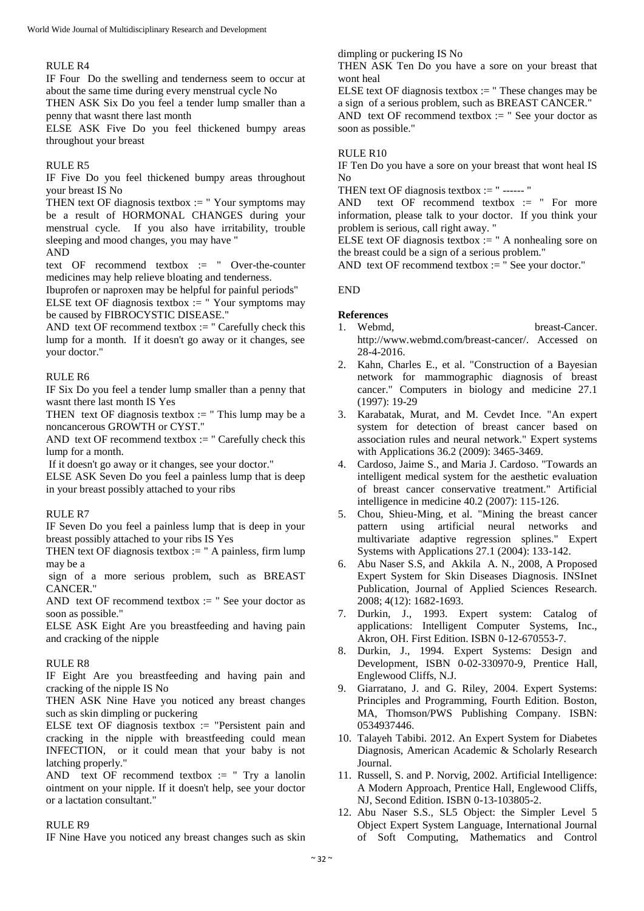#### RULE R4

IF Four Do the swelling and tenderness seem to occur at about the same time during every menstrual cycle No

THEN ASK Six Do you feel a tender lump smaller than a penny that wasnt there last month

ELSE ASK Five Do you feel thickened bumpy areas throughout your breast

#### RULE R5

IF Five Do you feel thickened bumpy areas throughout your breast IS No

THEN text OF diagnosis textbox  $:=$  "Your symptoms may be a result of HORMONAL CHANGES during your menstrual cycle. If you also have irritability, trouble sleeping and mood changes, you may have "

#### AND

text  $OF$  recommend textbox  $:=$  " Over-the-counter medicines may help relieve bloating and tenderness.

Ibuprofen or naproxen may be helpful for painful periods"

ELSE text OF diagnosis textbox  $:=$  "Your symptoms may be caused by FIBROCYSTIC DISEASE."

AND text OF recommend textbox  $:=$  " Carefully check this lump for a month. If it doesn't go away or it changes, see your doctor."

## RULE R6

IF Six Do you feel a tender lump smaller than a penny that wasnt there last month IS Yes

THEN text OF diagnosis textbox  $:=$  "This lump may be a noncancerous GROWTH or CYST."

AND text OF recommend textbox  $:=$  " Carefully check this lump for a month.

If it doesn't go away or it changes, see your doctor."

ELSE ASK Seven Do you feel a painless lump that is deep in your breast possibly attached to your ribs

#### RULE R7

IF Seven Do you feel a painless lump that is deep in your breast possibly attached to your ribs IS Yes

THEN text OF diagnosis textbox  $:=$  " A painless, firm lump may be a

sign of a more serious problem, such as BREAST CANCER."

AND text OF recommend textbox  $:=$  " See your doctor as soon as possible."

ELSE ASK Eight Are you breastfeeding and having pain and cracking of the nipple

## RULE R8

IF Eight Are you breastfeeding and having pain and cracking of the nipple IS No

THEN ASK Nine Have you noticed any breast changes such as skin dimpling or puckering

ELSE text OF diagnosis textbox  $:=$  "Persistent pain and cracking in the nipple with breastfeeding could mean INFECTION, or it could mean that your baby is not latching properly."

AND text OF recommend textbox  $:=$  " Try a lanolin ointment on your nipple. If it doesn't help, see your doctor or a lactation consultant."

#### RULE R9

IF Nine Have you noticed any breast changes such as skin

dimpling or puckering IS No

THEN ASK Ten Do you have a sore on your breast that wont heal

ELSE text OF diagnosis textbox  $:=$  "These changes may be a sign of a serious problem, such as BREAST CANCER."

AND text OF recommend textbox  $:=$  " See your doctor as soon as possible."

## RULE R10

IF Ten Do you have a sore on your breast that wont heal IS No

THEN text OF diagnosis textbox := " ------ "

AND text OF recommend textbox  $:=$  " For more information, please talk to your doctor. If you think your problem is serious, call right away. "

ELSE text OF diagnosis textbox  $:=$  " A nonhealing sore on the breast could be a sign of a serious problem."

AND text OF recommend textbox := " See your doctor."

#### END

#### **References**

- 1. Webmd. breast-Cancer. http://www.webmd.com/breast-cancer/. Accessed on 28-4-2016.
- 2. Kahn, Charles E., et al. "Construction of a Bayesian network for mammographic diagnosis of breast cancer." Computers in biology and medicine 27.1 (1997): 19-29
- 3. Karabatak, Murat, and M. Cevdet Ince. "An expert system for detection of breast cancer based on association rules and neural network." Expert systems with Applications 36.2 (2009): 3465-3469.
- 4. Cardoso, Jaime S., and Maria J. Cardoso. "Towards an intelligent medical system for the aesthetic evaluation of breast cancer conservative treatment." Artificial intelligence in medicine 40.2 (2007): 115-126.
- 5. Chou, Shieu-Ming, et al. "Mining the breast cancer pattern using artificial neural networks and multivariate adaptive regression splines." Expert Systems with Applications 27.1 (2004): 133-142.
- 6. Abu Naser S.S, and Akkila A. N., 2008, A Proposed Expert System for Skin Diseases Diagnosis. INSInet Publication, Journal of Applied Sciences Research. 2008; 4(12): 1682-1693.
- 7. Durkin, J., 1993. Expert system: Catalog of applications: Intelligent Computer Systems, Inc., Akron, OH. First Edition. ISBN 0-12-670553-7.
- 8. Durkin, J., 1994. Expert Systems: Design and Development, ISBN 0-02-330970-9, Prentice Hall, Englewood Cliffs, N.J.
- 9. Giarratano, J. and G. Riley, 2004. Expert Systems: Principles and Programming, Fourth Edition. Boston, MA, Thomson/PWS Publishing Company. ISBN: 0534937446.
- 10. Talayeh Tabibi. 2012. An Expert System for Diabetes Diagnosis, American Academic & Scholarly Research Journal.
- 11. Russell, S. and P. Norvig, 2002. Artificial Intelligence: A Modern Approach, Prentice Hall, Englewood Cliffs, NJ, Second Edition. ISBN 0-13-103805-2.
- 12. Abu Naser S.S., SL5 Object: the Simpler Level 5 Object Expert System Language, International Journal of Soft Computing, Mathematics and Control